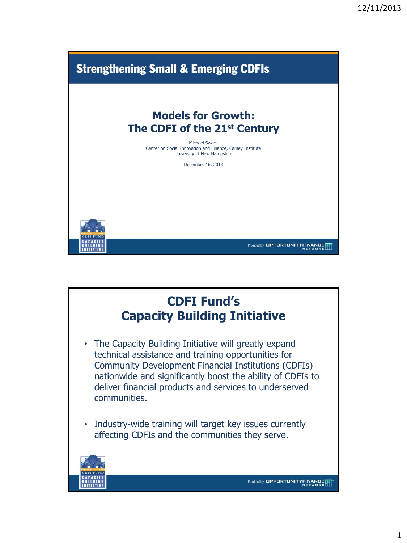

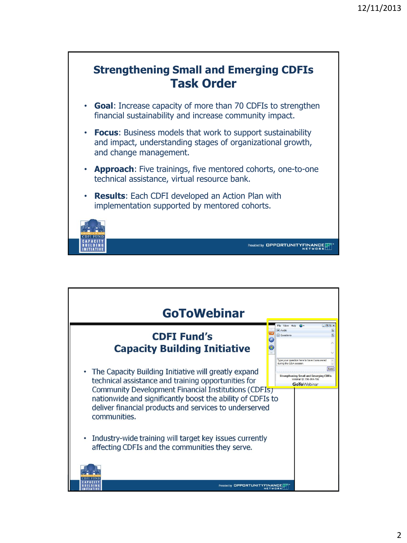

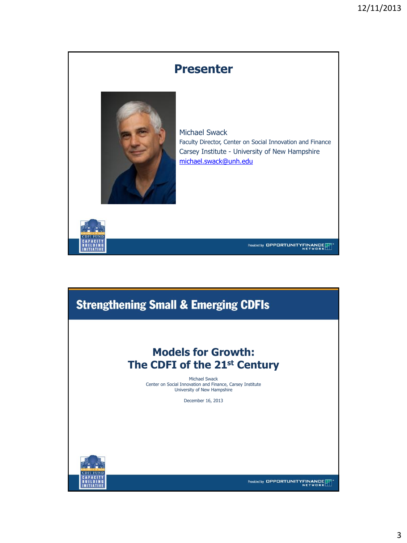

## **Strengthening Small & Emerging CDFIs**

## **Models for Growth: The CDFI of the 21st Century**

Michael Swack Center on Social Innovation and Finance, Carsey Institute University of New Hampshire

December 16, 2013



Provided by OPPORTUNITYFINANCE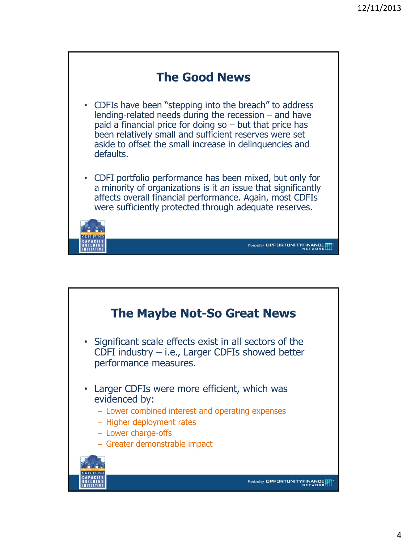

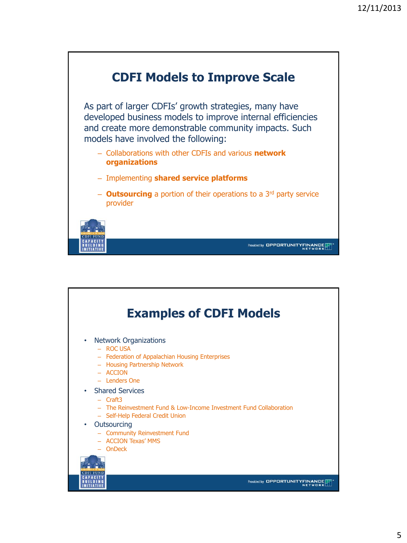

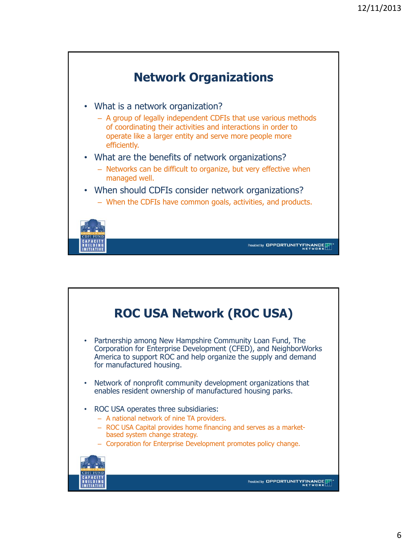

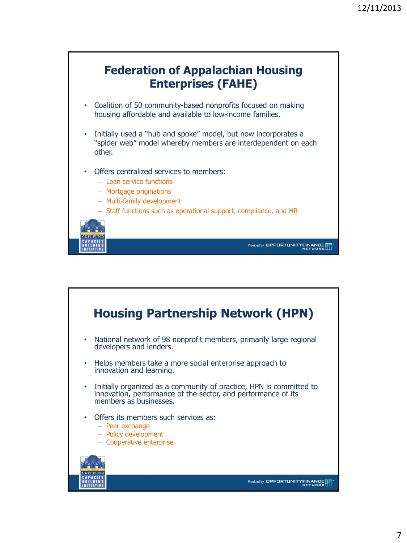

![](_page_6_Figure_2.jpeg)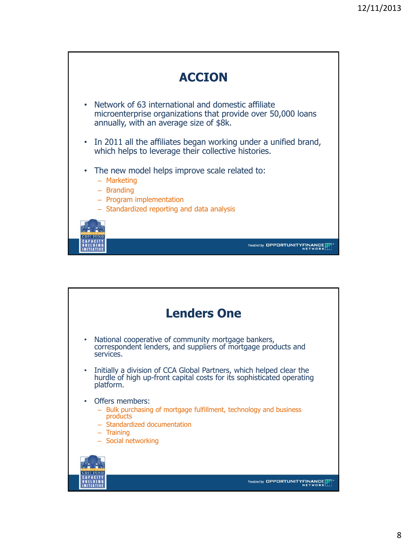![](_page_7_Picture_1.jpeg)

![](_page_7_Figure_2.jpeg)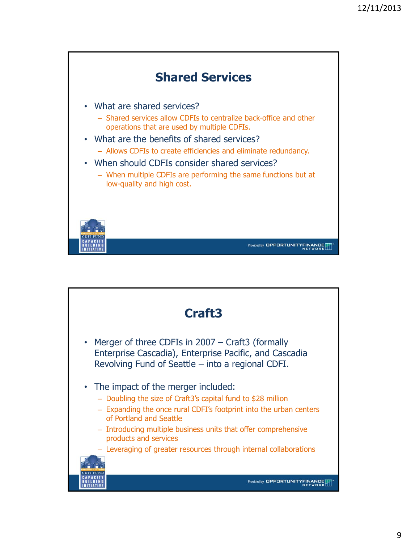![](_page_8_Figure_1.jpeg)

![](_page_8_Figure_2.jpeg)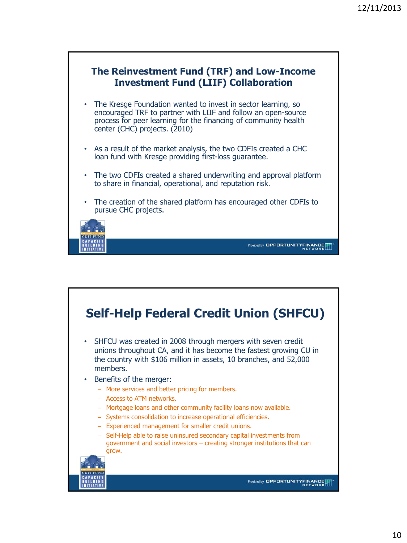![](_page_9_Figure_1.jpeg)

![](_page_9_Figure_2.jpeg)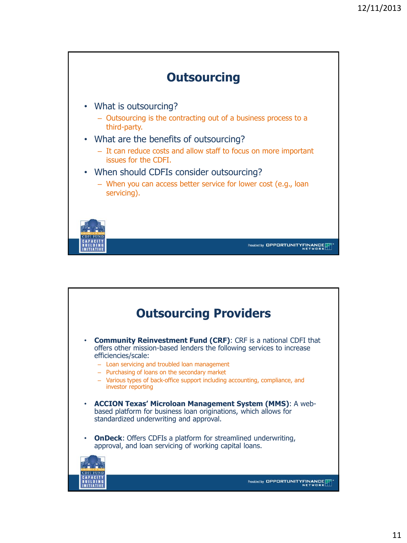![](_page_10_Figure_1.jpeg)

![](_page_10_Picture_2.jpeg)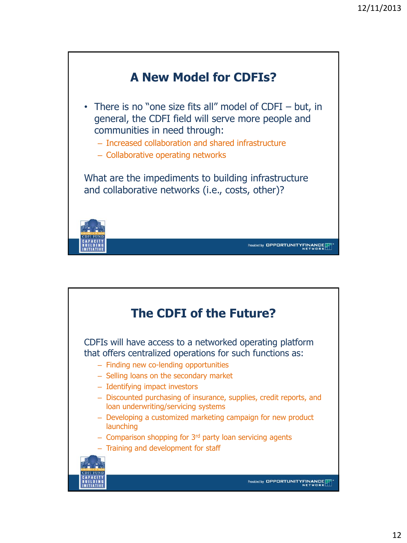![](_page_11_Picture_1.jpeg)

![](_page_11_Picture_2.jpeg)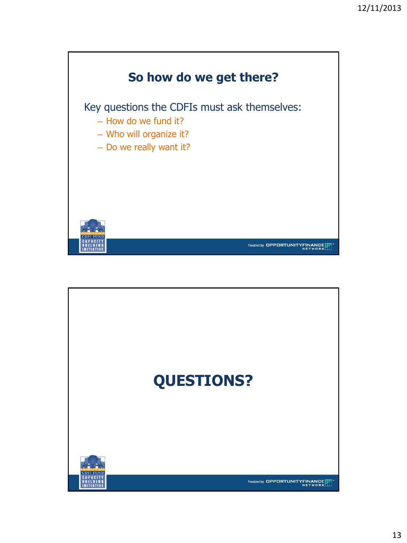![](_page_12_Picture_1.jpeg)

![](_page_12_Picture_2.jpeg)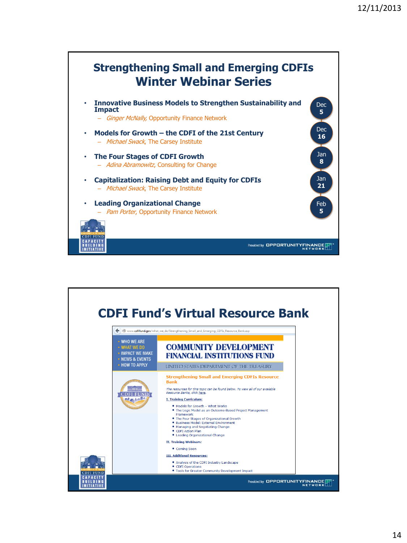![](_page_13_Figure_1.jpeg)

![](_page_13_Picture_2.jpeg)